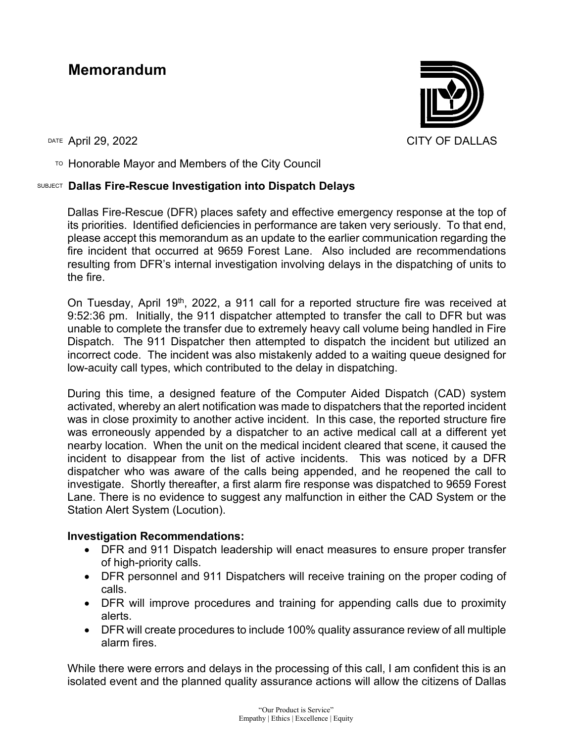## **Memorandum**

 $T$ <sup>O</sup> Honorable Mayor and Members of the City Council

## SUBJECT **Dallas Fire-Rescue Investigation into Dispatch Delays**

Dallas Fire-Rescue (DFR) places safety and effective emergency response at the top of its priorities. Identified deficiencies in performance are taken very seriously. To that end, please accept this memorandum as an update to the earlier communication regarding the fire incident that occurred at 9659 Forest Lane. Also included are recommendations resulting from DFR's internal investigation involving delays in the dispatching of units to the fire.

On Tuesday, April 19th, 2022, a 911 call for a reported structure fire was received at 9:52:36 pm. Initially, the 911 dispatcher attempted to transfer the call to DFR but was unable to complete the transfer due to extremely heavy call volume being handled in Fire Dispatch. The 911 Dispatcher then attempted to dispatch the incident but utilized an incorrect code. The incident was also mistakenly added to a waiting queue designed for low-acuity call types, which contributed to the delay in dispatching.

During this time, a designed feature of the Computer Aided Dispatch (CAD) system activated, whereby an alert notification was made to dispatchers that the reported incident was in close proximity to another active incident. In this case, the reported structure fire was erroneously appended by a dispatcher to an active medical call at a different yet nearby location. When the unit on the medical incident cleared that scene, it caused the incident to disappear from the list of active incidents. This was noticed by a DFR dispatcher who was aware of the calls being appended, and he reopened the call to investigate. Shortly thereafter, a first alarm fire response was dispatched to 9659 Forest Lane. There is no evidence to suggest any malfunction in either the CAD System or the Station Alert System (Locution).

## **Investigation Recommendations:**

- DFR and 911 Dispatch leadership will enact measures to ensure proper transfer of high-priority calls.
- DFR personnel and 911 Dispatchers will receive training on the proper coding of calls.
- DFR will improve procedures and training for appending calls due to proximity alerts.
- DFR will create procedures to include 100% quality assurance review of all multiple alarm fires.

While there were errors and delays in the processing of this call, I am confident this is an isolated event and the planned quality assurance actions will allow the citizens of Dallas